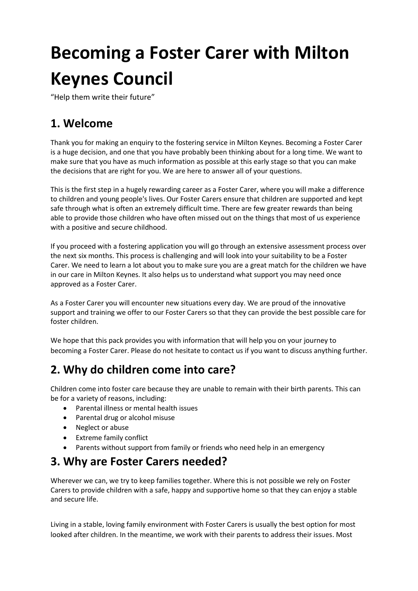# **Becoming a Foster Carer with Milton Keynes Council**

"Help them write their future"

# **1. Welcome**

Thank you for making an enquiry to the fostering service in Milton Keynes. Becoming a Foster Carer is a huge decision, and one that you have probably been thinking about for a long time. We want to make sure that you have as much information as possible at this early stage so that you can make the decisions that are right for you. We are here to answer all of your questions.

This is the first step in a hugely rewarding career as a Foster Carer, where you will make a difference to children and young people's lives. Our Foster Carers ensure that children are supported and kept safe through what is often an extremely difficult time. There are few greater rewards than being able to provide those children who have often missed out on the things that most of us experience with a positive and secure childhood.

If you proceed with a fostering application you will go through an extensive assessment process over the next six months. This process is challenging and will look into your suitability to be a Foster Carer. We need to learn a lot about you to make sure you are a great match for the children we have in our care in Milton Keynes. It also helps us to understand what support you may need once approved as a Foster Carer.

As a Foster Carer you will encounter new situations every day. We are proud of the innovative support and training we offer to our Foster Carers so that they can provide the best possible care for foster children.

We hope that this pack provides you with information that will help you on your journey to becoming a Foster Carer. Please do not hesitate to contact us if you want to discuss anything further.

# **2. Why do children come into care?**

Children come into foster care because they are unable to remain with their birth parents. This can be for a variety of reasons, including:

- Parental illness or mental health issues
- Parental drug or alcohol misuse
- Neglect or abuse
- Extreme family conflict
- Parents without support from family or friends who need help in an emergency

# **3. Why are Foster Carers needed?**

Wherever we can, we try to keep families together. Where this is not possible we rely on Foster Carers to provide children with a safe, happy and supportive home so that they can enjoy a stable and secure life.

Living in a stable, loving family environment with Foster Carers is usually the best option for most looked after children. In the meantime, we work with their parents to address their issues. Most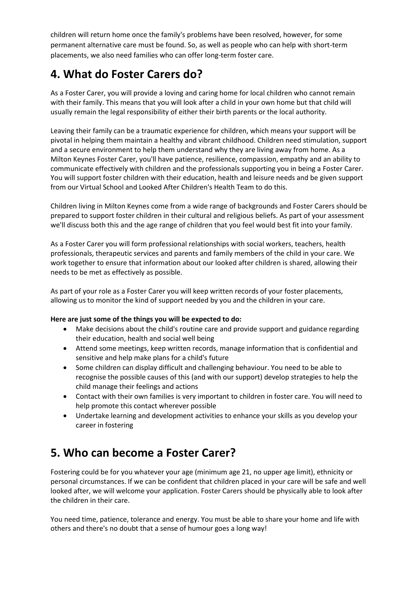children will return home once the family's problems have been resolved, however, for some permanent alternative care must be found. So, as well as people who can help with short-term placements, we also need families who can offer long-term foster care.

# **4. What do Foster Carers do?**

As a Foster Carer, you will provide a loving and caring home for local children who cannot remain with their family. This means that you will look after a child in your own home but that child will usually remain the legal responsibility of either their birth parents or the local authority.

Leaving their family can be a traumatic experience for children, which means your support will be pivotal in helping them maintain a healthy and vibrant childhood. Children need stimulation, support and a secure environment to help them understand why they are living away from home. As a Milton Keynes Foster Carer, you'll have patience, resilience, compassion, empathy and an ability to communicate effectively with children and the professionals supporting you in being a Foster Carer. You will support foster children with their education, health and leisure needs and be given support from our Virtual School and Looked After Children's Health Team to do this.

Children living in Milton Keynes come from a wide range of backgrounds and Foster Carers should be prepared to support foster children in their cultural and religious beliefs. As part of your assessment we'll discuss both this and the age range of children that you feel would best fit into your family.

As a Foster Carer you will form professional relationships with social workers, teachers, health professionals, therapeutic services and parents and family members of the child in your care. We work together to ensure that information about our looked after children is shared, allowing their needs to be met as effectively as possible.

As part of your role as a Foster Carer you will keep written records of your foster placements, allowing us to monitor the kind of support needed by you and the children in your care.

#### **Here are just some of the things you will be expected to do:**

- Make decisions about the child's routine care and provide support and guidance regarding their education, health and social well being
- Attend some meetings, keep written records, manage information that is confidential and sensitive and help make plans for a child's future
- Some children can display difficult and challenging behaviour. You need to be able to recognise the possible causes of this (and with our support) develop strategies to help the child manage their feelings and actions
- Contact with their own families is very important to children in foster care. You will need to help promote this contact wherever possible
- Undertake learning and development activities to enhance your skills as you develop your career in fostering

# **5. Who can become a Foster Carer?**

Fostering could be for you whatever your age (minimum age 21, no upper age limit), ethnicity or personal circumstances. If we can be confident that children placed in your care will be safe and well looked after, we will welcome your application. Foster Carers should be physically able to look after the children in their care.

You need time, patience, tolerance and energy. You must be able to share your home and life with others and there's no doubt that a sense of humour goes a long way!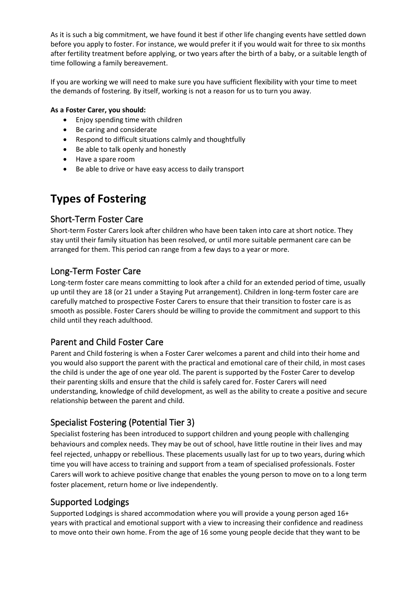As it is such a big commitment, we have found it best if other life changing events have settled down before you apply to foster. For instance, we would prefer it if you would wait for three to six months after fertility treatment before applying, or two years after the birth of a baby, or a suitable length of time following a family bereavement.

If you are working we will need to make sure you have sufficient flexibility with your time to meet the demands of fostering. By itself, working is not a reason for us to turn you away.

#### **As a Foster Carer, you should:**

- Enjoy spending time with children
- Be caring and considerate
- Respond to difficult situations calmly and thoughtfully
- Be able to talk openly and honestly
- Have a spare room
- Be able to drive or have easy access to daily transport

# **Types of Fostering**

### Short-Term Foster Care

Short-term Foster Carers look after children who have been taken into care at short notice. They stay until their family situation has been resolved, or until more suitable permanent care can be arranged for them. This period can range from a few days to a year or more.

# Long-Term Foster Care

Long-term foster care means committing to look after a child for an extended period of time, usually up until they are 18 (or 21 under a Staying Put arrangement). Children in long-term foster care are carefully matched to prospective Foster Carers to ensure that their transition to foster care is as smooth as possible. Foster Carers should be willing to provide the commitment and support to this child until they reach adulthood.

### Parent and Child Foster Care

Parent and Child fostering is when a Foster Carer welcomes a parent and child into their home and you would also support the parent with the practical and emotional care of their child, in most cases the child is under the age of one year old. The parent is supported by the Foster Carer to develop their parenting skills and ensure that the child is safely cared for. Foster Carers will need understanding, knowledge of child development, as well as the ability to create a positive and secure relationship between the parent and child.

# Specialist Fostering (Potential Tier 3)

Specialist fostering has been introduced to support children and young people with challenging behaviours and complex needs. They may be out of school, have little routine in their lives and may feel rejected, unhappy or rebellious. These placements usually last for up to two years, during which time you will have access to training and support from a team of specialised professionals. Foster Carers will work to achieve positive change that enables the young person to move on to a long term foster placement, return home or live independently.

### Supported Lodgings

Supported Lodgings is shared accommodation where you will provide a young person aged 16+ years with practical and emotional support with a view to increasing their confidence and readiness to move onto their own home. From the age of 16 some young people decide that they want to be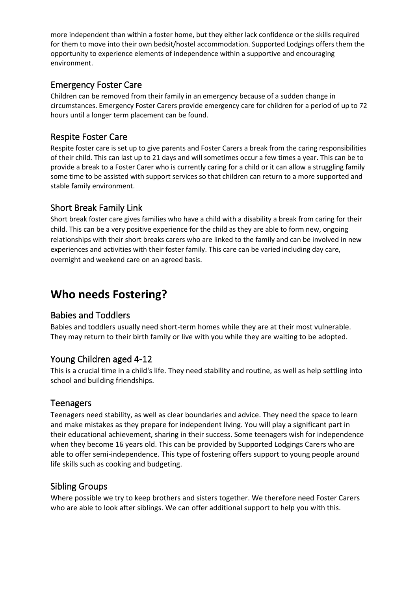more independent than within a foster home, but they either lack confidence or the skills required for them to move into their own bedsit/hostel accommodation. Supported Lodgings offers them the opportunity to experience elements of independence within a supportive and encouraging environment.

### Emergency Foster Care

Children can be removed from their family in an emergency because of a sudden change in circumstances. Emergency Foster Carers provide emergency care for children for a period of up to 72 hours until a longer term placement can be found.

# Respite Foster Care

Respite foster care is set up to give parents and Foster Carers a break from the caring responsibilities of their child. This can last up to 21 days and will sometimes occur a few times a year. This can be to provide a break to a Foster Carer who is currently caring for a child or it can allow a struggling family some time to be assisted with support services so that children can return to a more supported and stable family environment.

# Short Break Family Link

Short break foster care gives families who have a child with a disability a break from caring for their child. This can be a very positive experience for the child as they are able to form new, ongoing relationships with their short breaks carers who are linked to the family and can be involved in new experiences and activities with their foster family. This care can be varied including day care, overnight and weekend care on an agreed basis.

# **Who needs Fostering?**

### Babies and Toddlers

Babies and toddlers usually need short-term homes while they are at their most vulnerable. They may return to their birth family or live with you while they are waiting to be adopted.

### Young Children aged 4-12

This is a crucial time in a child's life. They need stability and routine, as well as help settling into school and building friendships.

### Teenagers

Teenagers need stability, as well as clear boundaries and advice. They need the space to learn and make mistakes as they prepare for independent living. You will play a significant part in their educational achievement, sharing in their success. Some teenagers wish for independence when they become 16 years old. This can be provided by Supported Lodgings Carers who are able to offer semi-independence. This type of fostering offers support to young people around life skills such as cooking and budgeting.

### Sibling Groups

Where possible we try to keep brothers and sisters together. We therefore need Foster Carers who are able to look after siblings. We can offer additional support to help you with this.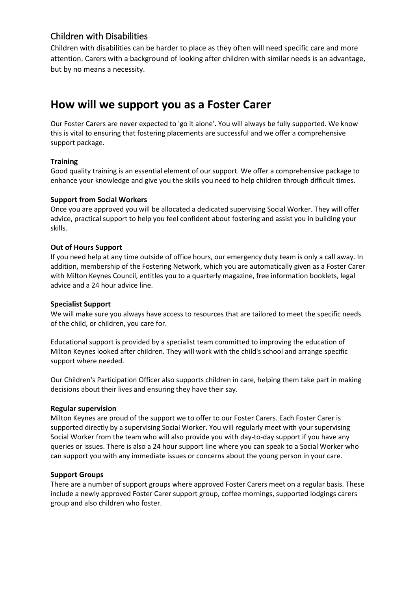### Children with Disabilities

Children with disabilities can be harder to place as they often will need specific care and more attention. Carers with a background of looking after children with similar needs is an advantage, but by no means a necessity.

# **How will we support you as a Foster Carer**

Our Foster Carers are never expected to 'go it alone'. You will always be fully supported. We know this is vital to ensuring that fostering placements are successful and we offer a comprehensive support package.

#### **Training**

Good quality training is an essential element of our support. We offer a comprehensive package to enhance your knowledge and give you the skills you need to help children through difficult times.

#### **Support from Social Workers**

Once you are approved you will be allocated a dedicated supervising Social Worker. They will offer advice, practical support to help you feel confident about fostering and assist you in building your skills.

#### **Out of Hours Support**

If you need help at any time outside of office hours, our emergency duty team is only a call away. In addition, membership of the Fostering Network, which you are automatically given as a Foster Carer with Milton Keynes Council, entitles you to a quarterly magazine, free information booklets, legal advice and a 24 hour advice line.

#### **Specialist Support**

We will make sure you always have access to resources that are tailored to meet the specific needs of the child, or children, you care for.

Educational support is provided by a specialist team committed to improving the education of Milton Keynes looked after children. They will work with the child's school and arrange specific support where needed.

Our Children's Participation Officer also supports children in care, helping them take part in making decisions about their lives and ensuring they have their say.

#### **Regular supervision**

Milton Keynes are proud of the support we to offer to our Foster Carers. Each Foster Carer is supported directly by a supervising Social Worker. You will regularly meet with your supervising Social Worker from the team who will also provide you with day-to-day support if you have any queries or issues. There is also a 24 hour support line where you can speak to a Social Worker who can support you with any immediate issues or concerns about the young person in your care.

#### **Support Groups**

There are a number of support groups where approved Foster Carers meet on a regular basis. These include a newly approved Foster Carer support group, coffee mornings, supported lodgings carers group and also children who foster.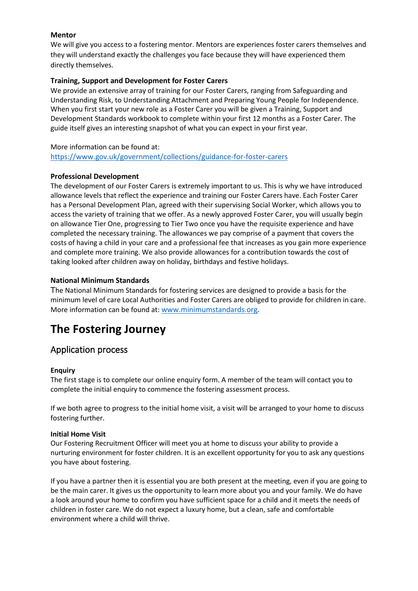#### **Mentor**

We will give you access to a fostering mentor. Mentors are experiences foster carers themselves and they will understand exactly the challenges you face because they will have experienced them directly themselves.

#### **Training, Support and Development for Foster Carers**

We provide an extensive array of training for our Foster Carers, ranging from Safeguarding and Understanding Risk, to Understanding Attachment and Preparing Young People for Independence. When you first start your new role as a Foster Carer you will be given a Training, Support and Development Standards workbook to complete within your first 12 months as a Foster Carer. The guide itself gives an interesting snapshot of what you can expect in your first year.

#### More information can be found at:

<https://www.gov.uk/government/collections/guidance-for-foster-carers>

#### **Professional Development**

The development of our Foster Carers is extremely important to us. This is why we have introduced allowance levels that reflect the experience and training our Foster Carers have. Each Foster Carer has a Personal Development Plan, agreed with their supervising Social Worker, which allows you to access the variety of training that we offer. As a newly approved Foster Carer, you will usually begin on allowance Tier One, progressing to Tier Two once you have the requisite experience and have completed the necessary training. The allowances we pay comprise of a payment that covers the costs of having a child in your care and a professional fee that increases as you gain more experience and complete more training. We also provide allowances for a contribution towards the cost of taking looked after children away on holiday, birthdays and festive holidays.

#### **National Minimum Standards**

The National Minimum Standards for fostering services are designed to provide a basis for the minimum level of care Local Authorities and Foster Carers are obliged to provide for children in care. More information can be found at: [www.minimumstandards.org.](http://www.minimumstandards.org/)

# **The Fostering Journey**

#### Application process

#### **Enquiry**

The first stage is to complete our online enquiry form. A member of the team will contact you to complete the initial enquiry to commence the fostering assessment process.

If we both agree to progress to the initial home visit, a visit will be arranged to your home to discuss fostering further.

#### **Initial Home Visit**

Our Fostering Recruitment Officer will meet you at home to discuss your ability to provide a nurturing environment for foster children. It is an excellent opportunity for you to ask any questions you have about fostering.

If you have a partner then it is essential you are both present at the meeting, even if you are going to be the main carer. It gives us the opportunity to learn more about you and your family. We do have a look around your home to confirm you have sufficient space for a child and it meets the needs of children in foster care. We do not expect a luxury home, but a clean, safe and comfortable environment where a child will thrive.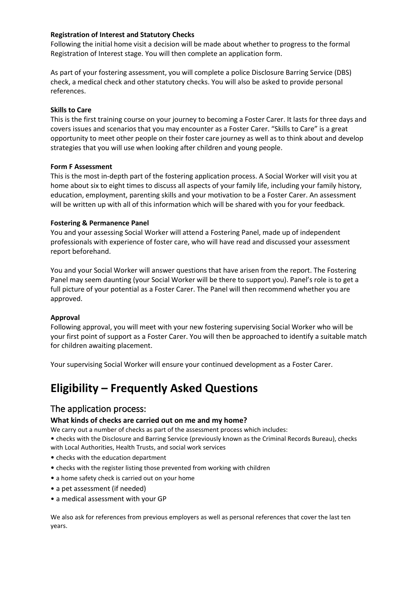#### **Registration of Interest and Statutory Checks**

Following the initial home visit a decision will be made about whether to progress to the formal Registration of Interest stage. You will then complete an application form.

As part of your fostering assessment, you will complete a police Disclosure Barring Service (DBS) check, a medical check and other statutory checks. You will also be asked to provide personal references.

#### **Skills to Care**

This is the first training course on your journey to becoming a Foster Carer. It lasts for three days and covers issues and scenarios that you may encounter as a Foster Carer. "Skills to Care" is a great opportunity to meet other people on their foster care journey as well as to think about and develop strategies that you will use when looking after children and young people.

#### **Form F Assessment**

This is the most in-depth part of the fostering application process. A Social Worker will visit you at home about six to eight times to discuss all aspects of your family life, including your family history, education, employment, parenting skills and your motivation to be a Foster Carer. An assessment will be written up with all of this information which will be shared with you for your feedback.

#### **Fostering & Permanence Panel**

You and your assessing Social Worker will attend a Fostering Panel, made up of independent professionals with experience of foster care, who will have read and discussed your assessment report beforehand.

You and your Social Worker will answer questions that have arisen from the report. The Fostering Panel may seem daunting (your Social Worker will be there to support you). Panel's role is to get a full picture of your potential as a Foster Carer. The Panel will then recommend whether you are approved.

#### **Approval**

Following approval, you will meet with your new fostering supervising Social Worker who will be your first point of support as a Foster Carer. You will then be approached to identify a suitable match for children awaiting placement.

Your supervising Social Worker will ensure your continued development as a Foster Carer.

# **Eligibility – Frequently Asked Questions**

#### The application process:

#### **What kinds of checks are carried out on me and my home?**

We carry out a number of checks as part of the assessment process which includes:

• checks with the Disclosure and Barring Service (previously known as the Criminal Records Bureau), checks with Local Authorities, Health Trusts, and social work services

- checks with the education department
- checks with the register listing those prevented from working with children
- a home safety check is carried out on your home
- a pet assessment (if needed)
- a medical assessment with your GP

We also ask for references from previous employers as well as personal references that cover the last ten years.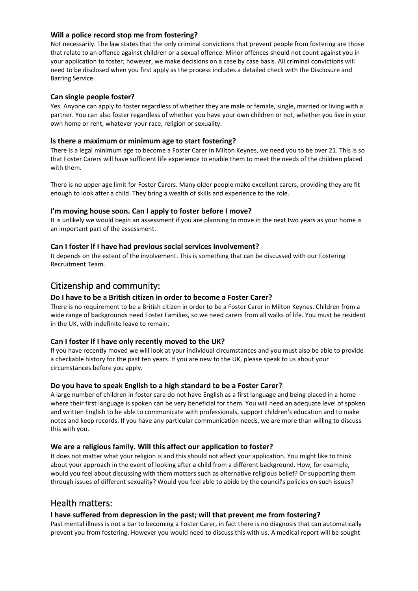#### **Will a police record stop me from fostering?**

Not necessarily. The law states that the only criminal convictions that prevent people from fostering are those that relate to an offence against children or a sexual offence. Minor offences should not count against you in your application to foster; however, we make decisions on a case by case basis. All criminal convictions will need to be disclosed when you first apply as the process includes a detailed check with the Disclosure and Barring Service.

#### **Can single people foster?**

Yes. Anyone can apply to foster regardless of whether they are male or female, single, married or living with a partner. You can also foster regardless of whether you have your own children or not, whether you live in your own home or rent, whatever your race, religion or sexuality.

#### **Is there a maximum or minimum age to start fostering?**

There is a legal minimum age to become a Foster Carer in Milton Keynes, we need you to be over 21. This is so that Foster Carers will have sufficient life experience to enable them to meet the needs of the children placed with them.

There is no upper age limit for Foster Carers. Many older people make excellent carers, providing they are fit enough to look after a child. They bring a wealth of skills and experience to the role.

#### **I'm moving house soon. Can I apply to foster before I move?**

It is unlikely we would begin an assessment if you are planning to move in the next two years as your home is an important part of the assessment.

#### **Can I foster if I have had previous social services involvement?**

It depends on the extent of the involvement. This is something that can be discussed with our Fostering Recruitment Team.

#### Citizenship and community:

#### **Do I have to be a British citizen in order to become a Foster Carer?**

There is no requirement to be a British citizen in order to be a Foster Carer in Milton Keynes. Children from a wide range of backgrounds need Foster Families, so we need carers from all walks of life. You must be resident in the UK, with indefinite leave to remain.

#### **Can I foster if I have only recently moved to the UK?**

If you have recently moved we will look at your individual circumstances and you must also be able to provide a checkable history for the past ten years. If you are new to the UK, please speak to us about your circumstances before you apply.

#### **Do you have to speak English to a high standard to be a Foster Carer?**

A large number of children in foster care do not have English as a first language and being placed in a home where their first language is spoken can be very beneficial for them. You will need an adequate level of spoken and written English to be able to communicate with professionals, support children's education and to make notes and keep records. If you have any particular communication needs, we are more than willing to discuss this with you.

#### **We are a religious family. Will this affect our application to foster?**

It does not matter what your religion is and this should not affect your application. You might like to think about your approach in the event of looking after a child from a different background. How, for example, would you feel about discussing with them matters such as alternative religious belief? Or supporting them through issues of different sexuality? Would you feel able to abide by the council's policies on such issues?

#### Health matters:

#### **I have suffered from depression in the past; will that prevent me from fostering?**

Past mental illness is not a bar to becoming a Foster Carer, in fact there is no diagnosis that can automatically prevent you from fostering. However you would need to discuss this with us. A medical report will be sought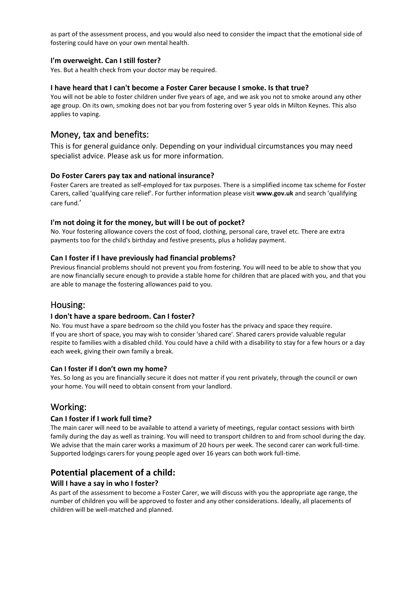as part of the assessment process, and you would also need to consider the impact that the emotional side of fostering could have on your own mental health.

#### **I'm overweight. Can I still foster?**

Yes. But a health check from your doctor may be required.

#### **I have heard that I can't become a Foster Carer because I smoke. Is that true?**

You will not be able to foster children under five years of age, and we ask you not to smoke around any other age group. On its own, smoking does not bar you from fostering over 5 year olds in Milton Keynes. This also applies to vaping.

### Money, tax and benefits:

This is for general guidance only. Depending on your individual circumstances you may need specialist advice. Please ask us for more information.

#### **Do Foster Carers pay tax and national insurance?**

Foster Carers are treated as self-employed for tax purposes. There is a simplified income tax scheme for Foster Carers, called 'qualifying care relief'. For further information please visit **www.gov.uk** and search 'qualifying care fund.'

#### **I'm not doing it for the money, but will I be out of pocket?**

No. Your fostering allowance covers the cost of food, clothing, personal care, travel etc. There are extra payments too for the child's birthday and festive presents, plus a holiday payment.

#### **Can I foster if I have previously had financial problems?**

Previous financial problems should not prevent you from fostering. You will need to be able to show that you are now financially secure enough to provide a stable home for children that are placed with you, and that you are able to manage the fostering allowances paid to you.

#### Housing:

#### **I don't have a spare bedroom. Can I foster?**

No. You must have a spare bedroom so the child you foster has the privacy and space they require. If you are short of space, you may wish to consider 'shared care'. Shared carers provide valuable regular respite to families with a disabled child. You could have a child with a disability to stay for a few hours or a day each week, giving their own family a break.

#### **Can I foster if I don't own my home?**

Yes. So long as you are financially secure it does not matter if you rent privately, through the council or own your home. You will need to obtain consent from your landlord.

#### Working:

#### **Can I foster if I work full time?**

The main carer will need to be available to attend a variety of meetings, regular contact sessions with birth family during the day as well as training. You will need to transport children to and from school during the day. We advise that the main carer works a maximum of 20 hours per week. The second carer can work full-time. Supported lodgings carers for young people aged over 16 years can both work full-time.

#### **Potential placement of a child:**

#### **Will I have a say in who I foster?**

As part of the assessment to become a Foster Carer, we will discuss with you the appropriate age range, the number of children you will be approved to foster and any other considerations. Ideally, all placements of children will be well-matched and planned.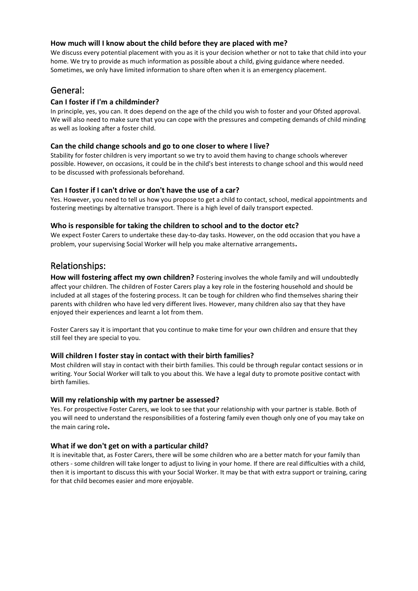#### **How much will I know about the child before they are placed with me?**

We discuss every potential placement with you as it is your decision whether or not to take that child into your home. We try to provide as much information as possible about a child, giving guidance where needed. Sometimes, we only have limited information to share often when it is an emergency placement.

#### General:

#### **Can I foster if I'm a childminder?**

In principle, yes, you can. It does depend on the age of the child you wish to foster and your Ofsted approval. We will also need to make sure that you can cope with the pressures and competing demands of child minding as well as looking after a foster child.

#### **Can the child change schools and go to one closer to where I live?**

Stability for foster children is very important so we try to avoid them having to change schools wherever possible. However, on occasions, it could be in the child's best interests to change school and this would need to be discussed with professionals beforehand.

#### **Can I foster if I can't drive or don't have the use of a car?**

Yes. However, you need to tell us how you propose to get a child to contact, school, medical appointments and fostering meetings by alternative transport. There is a high level of daily transport expected.

#### **Who is responsible for taking the children to school and to the doctor etc?**

We expect Foster Carers to undertake these day-to-day tasks. However, on the odd occasion that you have a problem, your supervising Social Worker will help you make alternative arrangements**.**

#### Relationships:

**How will fostering affect my own children?** Fostering involves the whole family and will undoubtedly affect your children. The children of Foster Carers play a key role in the fostering household and should be included at all stages of the fostering process. It can be tough for children who find themselves sharing their parents with children who have led very different lives. However, many children also say that they have enjoyed their experiences and learnt a lot from them.

Foster Carers say it is important that you continue to make time for your own children and ensure that they still feel they are special to you.

#### **Will children I foster stay in contact with their birth families?**

Most children will stay in contact with their birth families. This could be through regular contact sessions or in writing. Your Social Worker will talk to you about this. We have a legal duty to promote positive contact with birth families.

#### **Will my relationship with my partner be assessed?**

Yes. For prospective Foster Carers, we look to see that your relationship with your partner is stable. Both of you will need to understand the responsibilities of a fostering family even though only one of you may take on the main caring role**.** 

#### **What if we don't get on with a particular child?**

It is inevitable that, as Foster Carers, there will be some children who are a better match for your family than others - some children will take longer to adjust to living in your home. If there are real difficulties with a child, then it is important to discuss this with your Social Worker. It may be that with extra support or training, caring for that child becomes easier and more enjoyable.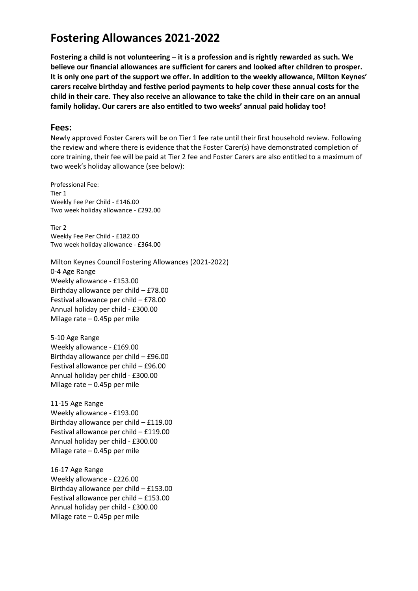# **Fostering Allowances 2021-2022**

**Fostering a child is not volunteering – it is a profession and is rightly rewarded as such. We believe our financial allowances are sufficient for carers and looked after children to prosper. It is only one part of the support we offer. In addition to the weekly allowance, Milton Keynes' carers receive birthday and festive period payments to help cover these annual costs for the child in their care. They also receive an allowance to take the child in their care on an annual family holiday. Our carers are also entitled to two weeks' annual paid holiday too!** 

#### **Fees:**

Newly approved Foster Carers will be on Tier 1 fee rate until their first household review. Following the review and where there is evidence that the Foster Carer(s) have demonstrated completion of core training, their fee will be paid at Tier 2 fee and Foster Carers are also entitled to a maximum of two week's holiday allowance (see below):

Professional Fee: Tier 1 Weekly Fee Per Child - £146.00 Two week holiday allowance - £292.00

Tier 2 Weekly Fee Per Child - £182.00 Two week holiday allowance - £364.00

Milton Keynes Council Fostering Allowances (2021-2022) 0-4 Age Range Weekly allowance - £153.00 Birthday allowance per child – £78.00 Festival allowance per child – £78.00 Annual holiday per child - £300.00 Milage rate – 0.45p per mile

5-10 Age Range Weekly allowance - £169.00 Birthday allowance per child – £96.00 Festival allowance per child – £96.00 Annual holiday per child - £300.00 Milage rate – 0.45p per mile

11-15 Age Range Weekly allowance - £193.00 Birthday allowance per child – £119.00 Festival allowance per child – £119.00 Annual holiday per child - £300.00 Milage rate – 0.45p per mile

16-17 Age Range Weekly allowance - £226.00 Birthday allowance per child – £153.00 Festival allowance per child – £153.00 Annual holiday per child - £300.00 Milage rate – 0.45p per mile